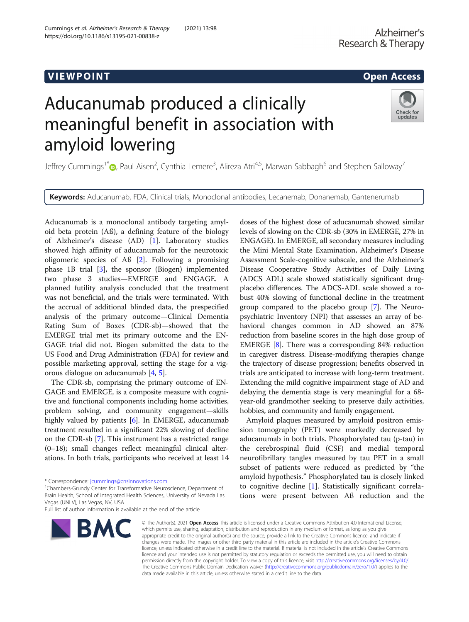# Aducanumab produced a clinically meaningful benefit in association with amyloid lowering

Jeffrey Cummings<sup>1\*</sup> (D[,](http://orcid.org/0000-0001-8944-4158) Paul Aisen<sup>2</sup>, Cynthia Lemere<sup>3</sup>, Alireza Atri<sup>4,5</sup>, Marwan Sabbagh<sup>6</sup> and Stephen Salloway<sup>7</sup>

Keywords: Aducanumab, FDA, Clinical trials, Monoclonal antibodies, Lecanemab, Donanemab, Gantenerumab

Aducanumab is a monoclonal antibody targeting amyloid beta protein (Aß), a defining feature of the biology of Alzheimer's disease (AD) [\[1](#page-2-0)]. Laboratory studies showed high affinity of aducanumab for the neurotoxic oligomeric species of Aß [\[2](#page-2-0)]. Following a promising phase 1B trial [\[3\]](#page-2-0), the sponsor (Biogen) implemented two phase 3 studies—EMERGE and ENGAGE. A planned futility analysis concluded that the treatment was not beneficial, and the trials were terminated. With the accrual of additional blinded data, the prespecified analysis of the primary outcome—Clinical Dementia Rating Sum of Boxes (CDR-sb)—showed that the EMERGE trial met its primary outcome and the EN-GAGE trial did not. Biogen submitted the data to the US Food and Drug Administration (FDA) for review and possible marketing approval, setting the stage for a vigorous dialogue on aducanumab [[4](#page-2-0), [5](#page-2-0)].

Cummings et al. Alzheimer's Research & Therapy (2021) 13:98

https://doi.org/10.1186/s13195-021-00838-z

The CDR-sb, comprising the primary outcome of EN-GAGE and EMERGE, is a composite measure with cognitive and functional components including home activities, problem solving, and community engagement—skills highly valued by patients [[6](#page-2-0)]. In EMERGE, aducanumab treatment resulted in a significant 22% slowing of decline on the CDR-sb [\[7](#page-2-0)]. This instrument has a restricted range (0–18); small changes reflect meaningful clinical alterations. In both trials, participants who received at least 14

Chambers-Grundy Center for Transformative Neuroscience, Department of Brain Health, School of Integrated Health Sciences, University of Nevada Las Vegas (UNLV), Las Vegas, NV, USA

Full list of author information is available at the end of the article



doses of the highest dose of aducanumab showed similar levels of slowing on the CDR-sb (30% in EMERGE, 27% in ENGAGE). In EMERGE, all secondary measures including the Mini Mental State Examination, Alzheimer's Disease Assessment Scale-cognitive subscale, and the Alzheimer's Disease Cooperative Study Activities of Daily Living (ADCS ADL) scale showed statistically significant drugplacebo differences. The ADCS-ADL scale showed a robust 40% slowing of functional decline in the treatment group compared to the placebo group [\[7\]](#page-2-0). The Neuropsychiatric Inventory (NPI) that assesses an array of behavioral changes common in AD showed an 87% reduction from baseline scores in the high dose group of EMERGE [\[8\]](#page-2-0). There was a corresponding 84% reduction in caregiver distress. Disease-modifying therapies change the trajectory of disease progression; benefits observed in trials are anticipated to increase with long-term treatment. Extending the mild cognitive impairment stage of AD and delaying the dementia stage is very meaningful for a 68 year-old grandmother seeking to preserve daily activities, hobbies, and community and family engagement.

Amyloid plaques measured by amyloid positron emission tomography (PET) were markedly decreased by aducanumab in both trials. Phosphorylated tau (p-tau) in the cerebrospinal fluid (CSF) and medial temporal neurofibrillary tangles measured by tau PET in a small subset of patients were reduced as predicted by "the amyloid hypothesis." Phosphorylated tau is closely linked to cognitive decline [\[1](#page-2-0)]. Statistically significant correlations were present between Aß reduction and the

© The Author(s), 2021 **Open Access** This article is licensed under a Creative Commons Attribution 4.0 International License, which permits use, sharing, adaptation, distribution and reproduction in any medium or format, as long as you give appropriate credit to the original author(s) and the source, provide a link to the Creative Commons licence, and indicate if changes were made. The images or other third party material in this article are included in the article's Creative Commons licence, unless indicated otherwise in a credit line to the material. If material is not included in the article's Creative Commons licence and your intended use is not permitted by statutory regulation or exceeds the permitted use, you will need to obtain permission directly from the copyright holder. To view a copy of this licence, visit [http://creativecommons.org/licenses/by/4.0/.](http://creativecommons.org/licenses/by/4.0/) The Creative Commons Public Domain Dedication waiver [\(http://creativecommons.org/publicdomain/zero/1.0/](http://creativecommons.org/publicdomain/zero/1.0/)) applies to the data made available in this article, unless otherwise stated in a credit line to the data.

Check for updates

<sup>\*</sup> Correspondence: [jcummings@cnsinnovations.com](mailto:jcummings@cnsinnovations.com) <sup>1</sup>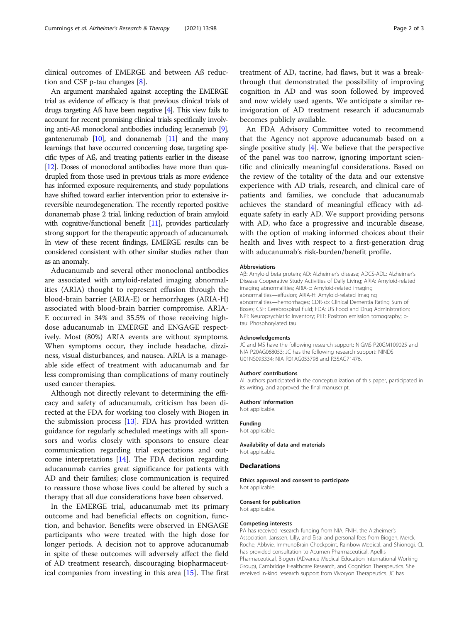clinical outcomes of EMERGE and between Aß reduction and CSF p-tau changes [[8\]](#page-2-0).

An argument marshaled against accepting the EMERGE trial as evidence of efficacy is that previous clinical trials of drugs targeting Aß have been negative [\[4](#page-2-0)]. This view fails to account for recent promising clinical trials specifically involving anti-Aß monoclonal antibodies including lecanemab [\[9\]](#page-2-0), gantenerumab [\[10\]](#page-2-0), and donanemab [[11\]](#page-2-0) and the many learnings that have occurred concerning dose, targeting specific types of Aß, and treating patients earlier in the disease [[12\]](#page-2-0). Doses of monoclonal antibodies have more than quadrupled from those used in previous trials as more evidence has informed exposure requirements, and study populations have shifted toward earlier intervention prior to extensive irreversible neurodegeneration. The recently reported positive donanemab phase 2 trial, linking reduction of brain amyloid with cognitive/functional benefit [\[11](#page-2-0)], provides particularly strong support for the therapeutic approach of aducanumab. In view of these recent findings, EMERGE results can be considered consistent with other similar studies rather than as an anomaly.

Aducanumab and several other monoclonal antibodies are associated with amyloid-related imaging abnormalities (ARIA) thought to represent effusion through the blood-brain barrier (ARIA-E) or hemorrhages (ARIA-H) associated with blood-brain barrier compromise. ARIA-E occurred in 34% and 35.5% of those receiving highdose aducanumab in EMERGE and ENGAGE respectively. Most (80%) ARIA events are without symptoms. When symptoms occur, they include headache, dizziness, visual disturbances, and nausea. ARIA is a manageable side effect of treatment with aducanumab and far less compromising than complications of many routinely used cancer therapies.

Although not directly relevant to determining the efficacy and safety of aducanumab, criticism has been directed at the FDA for working too closely with Biogen in the submission process [\[13\]](#page-2-0). FDA has provided written guidance for regularly scheduled meetings with all sponsors and works closely with sponsors to ensure clear communication regarding trial expectations and outcome interpretations [[14](#page-2-0)]. The FDA decision regarding aducanumab carries great significance for patients with AD and their families; close communication is required to reassure those whose lives could be altered by such a therapy that all due considerations have been observed.

In the EMERGE trial, aducanumab met its primary outcome and had beneficial effects on cognition, function, and behavior. Benefits were observed in ENGAGE participants who were treated with the high dose for longer periods. A decision not to approve aducanumab in spite of these outcomes will adversely affect the field of AD treatment research, discouraging biopharmaceutical companies from investing in this area [\[15](#page-2-0)]. The first treatment of AD, tacrine, had flaws, but it was a breakthrough that demonstrated the possibility of improving cognition in AD and was soon followed by improved and now widely used agents. We anticipate a similar reinvigoration of AD treatment research if aducanumab becomes publicly available.

An FDA Advisory Committee voted to recommend that the Agency not approve aducanumab based on a single positive study  $[4]$  $[4]$ . We believe that the perspective of the panel was too narrow, ignoring important scientific and clinically meaningful considerations. Based on the review of the totality of the data and our extensive experience with AD trials, research, and clinical care of patients and families, we conclude that aducanumab achieves the standard of meaningful efficacy with adequate safety in early AD. We support providing persons with AD, who face a progressive and incurable disease, with the option of making informed choices about their health and lives with respect to a first-generation drug with aducanumab's risk-burden/benefit profile.

# Abbreviations

Aβ: Amyloid beta protein; AD: Alzheimer's disease; ADCS-ADL: Alzheimer's Disease Cooperative Study Activities of Daily Living; ARIA: Amyloid-related imaging abnormalities; ARIA-E: Amyloid-related imaging abnormalities—effusion; ARIA-H: Amyloid-related imaging abnormalities—hemorrhages; CDR-sb: Clinical Dementia Rating Sum of Boxes; CSF: Cerebrospinal fluid; FDA: US Food and Drug Administration; NPI: Neuropsychiatric Inventory; PET: Positron emission tomography; ptau: Phosphorylated tau

#### Acknowledgements

JC and MS have the following research support: NIGMS P20GM109025 and NIA P20AG068053; JC has the following research support: NINDS U01NS093334; NIA R01AG053798 and R35AG71476.

# Authors' contributions

All authors participated in the conceptualization of this paper, participated in its writing, and approved the final manuscript.

# Authors' information

Not applicable.

# Funding

Not applicable.

Availability of data and materials Not applicable.

# Declarations

Ethics approval and consent to participate Not applicable.

# Consent for publication

Not applicable.

#### Competing interests

PA has received research funding from NIA, FNIH, the Alzheimer's Association, Janssen, Lilly, and Eisai and personal fees from Biogen, Merck, Roche, Abbvie, ImmunoBrain Checkpoint, Rainbow Medical, and Shionogi. CL has provided consultation to Acumen Pharmaceutical, Apellis Pharmaceutical, Biogen (ADvance Medical Education International Working Group), Cambridge Healthcare Research, and Cognition Therapeutics. She received in-kind research support from Vivoryon Therapeutics. JC has